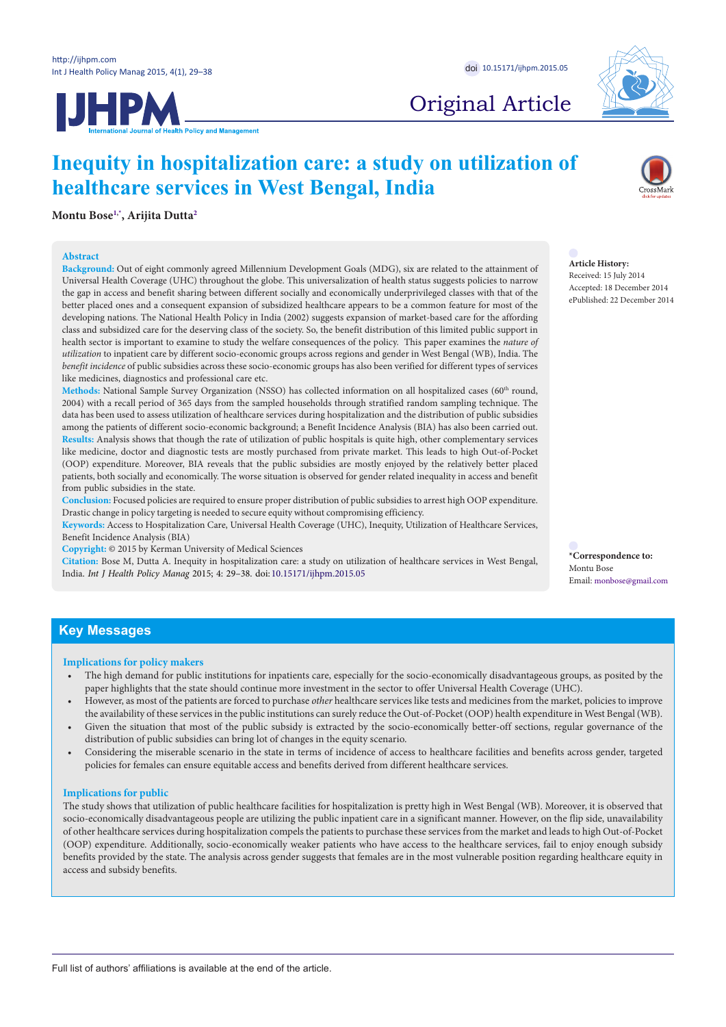



# Original Article

# **Inequity in hospitalization care: a study on utilization of healthcare services in West Bengal, India**

**Montu Bose[1](#page-8-0)[,\\*](#page-0-0) , Arijita Dutta[2](#page-8-1)**

#### **Abstract**

**Background:** Out of eight commonly agreed Millennium Development Goals (MDG), six are related to the attainment of Universal Health Coverage (UHC) throughout the globe. This universalization of health status suggests policies to narrow the gap in access and benefit sharing between different socially and economically underprivileged classes with that of the better placed ones and a consequent expansion of subsidized healthcare appears to be a common feature for most of the developing nations. The National Health Policy in India (2002) suggests expansion of market-based care for the affording class and subsidized care for the deserving class of the society. So, the benefit distribution of this limited public support in health sector is important to examine to study the welfare consequences of the policy. This paper examines the *nature of utilization* to inpatient care by different socio-economic groups across regions and gender in West Bengal (WB), India. The *benefit incidence* of public subsidies across these socio-economic groups has also been verified for different types of services like medicines, diagnostics and professional care etc.

Methods: National Sample Survey Organization (NSSO) has collected information on all hospitalized cases (60<sup>th</sup> round, 2004) with a recall period of 365 days from the sampled households through stratified random sampling technique. The data has been used to assess utilization of healthcare services during hospitalization and the distribution of public subsidies among the patients of different socio-economic background; a Benefit Incidence Analysis (BIA) has also been carried out. **Results:** Analysis shows that though the rate of utilization of public hospitals is quite high, other complementary services like medicine, doctor and diagnostic tests are mostly purchased from private market. This leads to high Out-of-Pocket (OOP) expenditure. Moreover, BIA reveals that the public subsidies are mostly enjoyed by the relatively better placed patients, both socially and economically. The worse situation is observed for gender related inequality in access and benefit from public subsidies in the state.

**Conclusion:** Focused policies are required to ensure proper distribution of public subsidies to arrest high OOP expenditure. Drastic change in policy targeting is needed to secure equity without compromising efficiency.

**Keywords:** Access to Hospitalization Care, Universal Health Coverage (UHC), Inequity, Utilization of Healthcare Services, Benefit Incidence Analysis (BIA)

**Copyright:** © 2015 by Kerman University of Medical Sciences

**Citation:** Bose M, Dutta A. Inequity in hospitalization care: a study on utilization of healthcare services in West Bengal, India. *Int J Health Policy Manag* 2015; 4: 29–38. doi: [10.15171/ijhpm.2015.05](http://dx.doi.org/10.15171/ijhpm.2015.05)

**Article History:** Received: 15 July 2014

Accepted: 18 December 2014 ePublished: 22 December 2014

<span id="page-0-0"></span>**\*Correspondence to:** Montu Bose Email: monbose@gmail.com

### **Key Messages**

**Implications for policy makers**

- The high demand for public institutions for inpatients care, especially for the socio-economically disadvantageous groups, as posited by the paper highlights that the state should continue more investment in the sector to offer Universal Health Coverage (UHC).
- However, as most of the patients are forced to purchase *other* healthcare services like tests and medicines from the market, policies to improve the availability of these services in the public institutions can surely reduce the Out-of-Pocket (OOP) health expenditure in West Bengal (WB).
- Given the situation that most of the public subsidy is extracted by the socio-economically better-off sections, regular governance of the distribution of public subsidies can bring lot of changes in the equity scenario.
- Considering the miserable scenario in the state in terms of incidence of access to healthcare facilities and benefits across gender, targeted policies for females can ensure equitable access and benefits derived from different healthcare services.

#### **Implications for public**

The study shows that utilization of public healthcare facilities for hospitalization is pretty high in West Bengal (WB). Moreover, it is observed that socio-economically disadvantageous people are utilizing the public inpatient care in a significant manner. However, on the flip side, unavailability of other healthcare services during hospitalization compels the patients to purchase these services from the market and leads to high Out-of-Pocket (OOP) expenditure. Additionally, socio-economically weaker patients who have access to the healthcare services, fail to enjoy enough subsidy benefits provided by the state. The analysis across gender suggests that females are in the most vulnerable position regarding healthcare equity in access and subsidy benefits.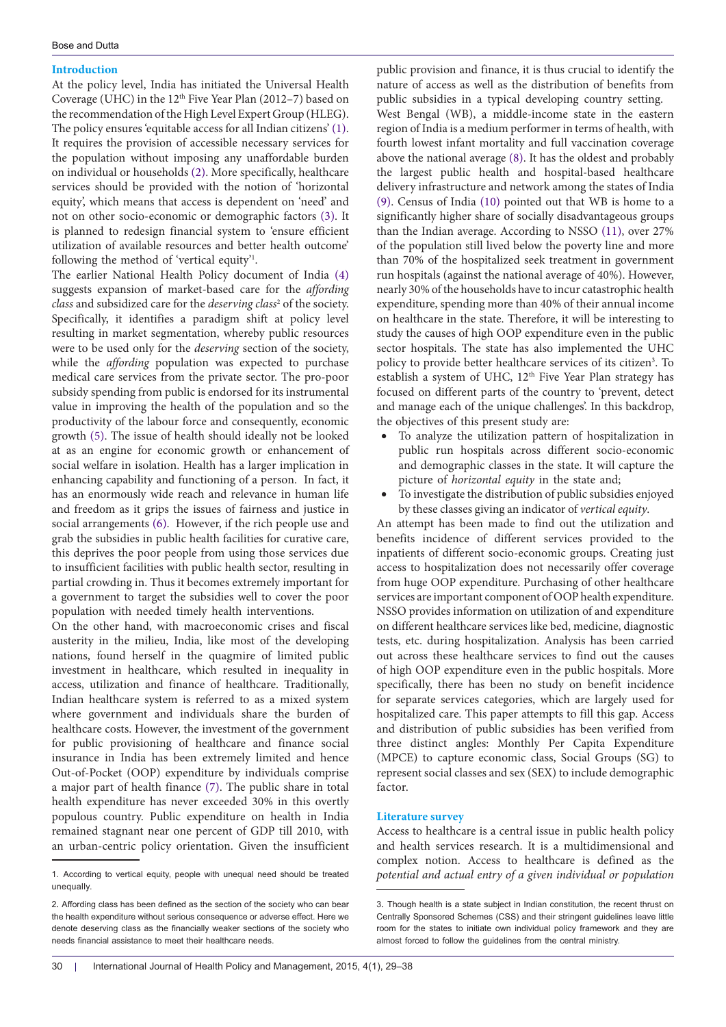#### **Introduction**

At the policy level, India has initiated the Universal Health Coverage (UHC) in the 12<sup>th</sup> Five Year Plan (2012–7) based on the recommendation of the High Level Expert Group (HLEG). The policy ensures 'equitable access for all Indian citizens' ([1](#page-8-2)). It requires the provision of accessible necessary services for the population without imposing any unaffordable burden on individual or households [\(2](#page-8-3)). More specifically, healthcare services should be provided with the notion of 'horizontal equity', which means that access is dependent on 'need' and not on other socio-economic or demographic factors [\(3](#page-8-4)). It is planned to redesign financial system to 'ensure efficient utilization of available resources and better health outcome' following the method of 'vertical equity'<sup>1</sup>.

The earlier National Health Policy document of India ([4\)](#page-8-5) suggests expansion of market-based care for the *affording*  class and subsidized care for the *deserving class<sup>2</sup>* of the society. Specifically, it identifies a paradigm shift at policy level resulting in market segmentation, whereby public resources were to be used only for the *deserving* section of the society, while the *affording* population was expected to purchase medical care services from the private sector. The pro-poor subsidy spending from public is endorsed for its instrumental value in improving the health of the population and so the productivity of the labour force and consequently, economic growth [\(5](#page-8-6)). The issue of health should ideally not be looked at as an engine for economic growth or enhancement of social welfare in isolation. Health has a larger implication in enhancing capability and functioning of a person. In fact, it has an enormously wide reach and relevance in human life and freedom as it grips the issues of fairness and justice in social arrangements ([6](#page-8-7)). However, if the rich people use and grab the subsidies in public health facilities for curative care, this deprives the poor people from using those services due to insufficient facilities with public health sector, resulting in partial crowding in. Thus it becomes extremely important for a government to target the subsidies well to cover the poor population with needed timely health interventions.

On the other hand, with macroeconomic crises and fiscal austerity in the milieu, India, like most of the developing nations, found herself in the quagmire of limited public investment in healthcare, which resulted in inequality in access, utilization and finance of healthcare. Traditionally, Indian healthcare system is referred to as a mixed system where government and individuals share the burden of healthcare costs. However, the investment of the government for public provisioning of healthcare and finance social insurance in India has been extremely limited and hence Out-of-Pocket (OOP) expenditure by individuals comprise a major part of health finance ([7\)](#page-8-8). The public share in total health expenditure has never exceeded 30% in this overtly populous country. Public expenditure on health in India remained stagnant near one percent of GDP till 2010, with an urban-centric policy orientation. Given the insufficient

public provision and finance, it is thus crucial to identify the nature of access as well as the distribution of benefits from public subsidies in a typical developing country setting. West Bengal (WB), a middle-income state in the eastern region of India is a medium performer in terms of health, with fourth lowest infant mortality and full vaccination coverage above the national average [\(8\)](#page-8-9). It has the oldest and probably the largest public health and hospital-based healthcare delivery infrastructure and network among the states of India [\(9](#page-8-9)). Census of India [\(10\)](#page-8-10) pointed out that WB is home to a significantly higher share of socially disadvantageous groups than the Indian average. According to NSSO ([11](#page-8-11)), over 27% of the population still lived below the poverty line and more than 70% of the hospitalized seek treatment in government run hospitals (against the national average of 40%). However, nearly 30% of the households have to incur catastrophic health expenditure, spending more than 40% of their annual income on healthcare in the state. Therefore, it will be interesting to study the causes of high OOP expenditure even in the public sector hospitals. The state has also implemented the UHC policy to provide better healthcare services of its citizen<sup>3</sup>. To establish a system of UHC, 12<sup>th</sup> Five Year Plan strategy has focused on different parts of the country to 'prevent, detect and manage each of the unique challenges'. In this backdrop, the objectives of this present study are:

- To analyze the utilization pattern of hospitalization in public run hospitals across different socio-economic and demographic classes in the state. It will capture the picture of *horizontal equity* in the state and;
- To investigate the distribution of public subsidies enjoyed by these classes giving an indicator of *vertical equity*.

An attempt has been made to find out the utilization and benefits incidence of different services provided to the inpatients of different socio-economic groups. Creating just access to hospitalization does not necessarily offer coverage from huge OOP expenditure. Purchasing of other healthcare services are important component of OOP health expenditure. NSSO provides information on utilization of and expenditure on different healthcare services like bed, medicine, diagnostic tests, etc. during hospitalization. Analysis has been carried out across these healthcare services to find out the causes of high OOP expenditure even in the public hospitals. More specifically, there has been no study on benefit incidence for separate services categories, which are largely used for hospitalized care. This paper attempts to fill this gap. Access and distribution of public subsidies has been verified from three distinct angles: Monthly Per Capita Expenditure (MPCE) to capture economic class, Social Groups (SG) to represent social classes and sex (SEX) to include demographic factor.

#### **Literature survey**

Access to healthcare is a central issue in public health policy and health services research. It is a multidimensional and complex notion. Access to healthcare is defined as the *potential and actual entry of a given individual or population* 

<sup>1.</sup> According to vertical equity, people with unequal need should be treated unequally.

<sup>2</sup>. Affording class has been defined as the section of the society who can bear the health expenditure without serious consequence or adverse effect. Here we denote deserving class as the financially weaker sections of the society who needs financial assistance to meet their healthcare needs.

<sup>3</sup>. Though health is a state subject in Indian constitution, the recent thrust on Centrally Sponsored Schemes (CSS) and their stringent guidelines leave little room for the states to initiate own individual policy framework and they are almost forced to follow the guidelines from the central ministry.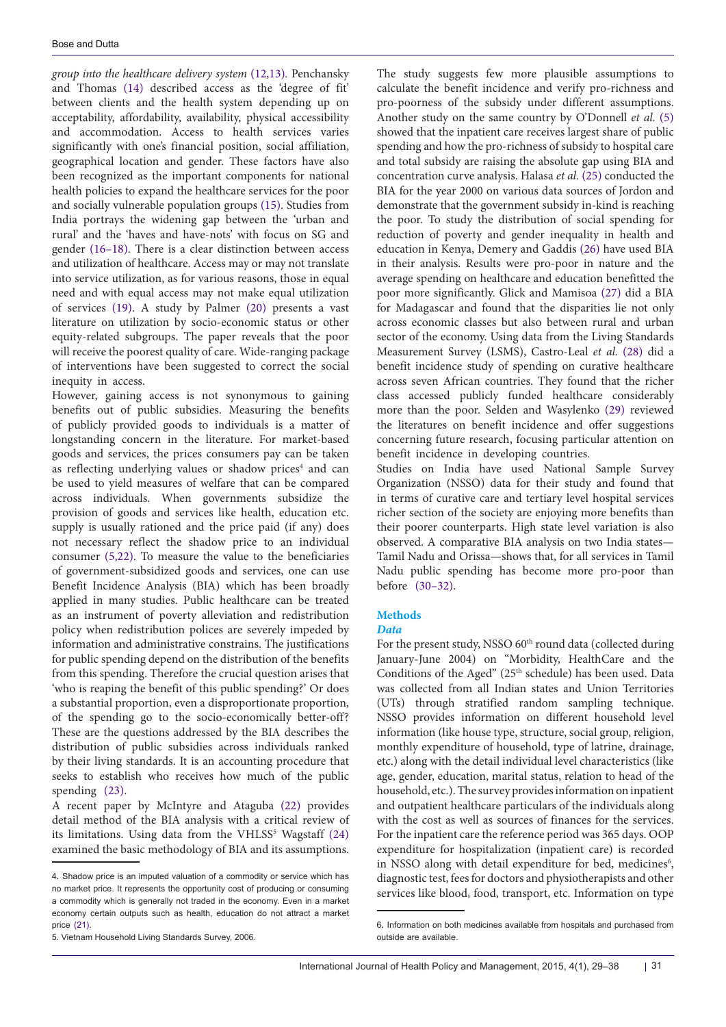*group into the healthcare delivery system* ([12,](#page-8-12)[13](#page-8-13))*.* Penchansky and Thomas ([14](#page-8-14)) described access as the 'degree of fit' between clients and the health system depending up on acceptability, affordability, availability, physical accessibility and accommodation. Access to health services varies significantly with one's financial position, social affiliation, geographical location and gender. These factors have also been recognized as the important components for national health policies to expand the healthcare services for the poor and socially vulnerable population groups [\(15\)](#page-8-15). Studies from India portrays the widening gap between the 'urban and rural' and the 'haves and have-nots' with focus on SG and gender [\(16–](#page-8-16)[18](#page-8-17)). There is a clear distinction between access and utilization of healthcare. Access may or may not translate into service utilization, as for various reasons, those in equal need and with equal access may not make equal utilization of services [\(19\)](#page-8-18). A study by Palmer [\(20](#page-8-19)) presents a vast literature on utilization by socio-economic status or other equity-related subgroups. The paper reveals that the poor will receive the poorest quality of care. Wide-ranging package of interventions have been suggested to correct the social inequity in access.

However, gaining access is not synonymous to gaining benefits out of public subsidies. Measuring the benefits of publicly provided goods to individuals is a matter of longstanding concern in the literature. For market-based goods and services, the prices consumers pay can be taken as reflecting underlying values or shadow prices<sup>4</sup> and can be used to yield measures of welfare that can be compared across individuals. When governments subsidize the provision of goods and services like health, education etc. supply is usually rationed and the price paid (if any) does not necessary reflect the shadow price to an individual consumer [\(5](#page-8-6)[,22\)](#page-8-20). To measure the value to the beneficiaries of government-subsidized goods and services, one can use Benefit Incidence Analysis (BIA) which has been broadly applied in many studies. Public healthcare can be treated as an instrument of poverty alleviation and redistribution policy when redistribution polices are severely impeded by information and administrative constrains. The justifications for public spending depend on the distribution of the benefits from this spending. Therefore the crucial question arises that 'who is reaping the benefit of this public spending?' Or does a substantial proportion, even a disproportionate proportion, of the spending go to the socio-economically better-off? These are the questions addressed by the BIA describes the distribution of public subsidies across individuals ranked by their living standards. It is an accounting procedure that seeks to establish who receives how much of the public spending ([23](#page-8-21)).

A recent paper by McIntyre and Ataguba ([22](#page-8-20)) provides detail method of the BIA analysis with a critical review of its limitations. Using data from the VHLSS<sup>5</sup> Wagstaff [\(24\)](#page-8-22) examined the basic methodology of BIA and its assumptions.

The study suggests few more plausible assumptions to calculate the benefit incidence and verify pro-richness and pro-poorness of the subsidy under different assumptions. Another study on the same country by O'Donnell *et al.* [\(5](#page-8-6)) showed that the inpatient care receives largest share of public spending and how the pro-richness of subsidy to hospital care and total subsidy are raising the absolute gap using BIA and concentration curve analysis. Halasa *et al.* ([25](#page-8-24)) conducted the BIA for the year 2000 on various data sources of Jordon and demonstrate that the government subsidy in-kind is reaching the poor. To study the distribution of social spending for reduction of poverty and gender inequality in health and education in Kenya, Demery and Gaddis [\(26\)](#page-8-25) have used BIA in their analysis. Results were pro-poor in nature and the average spending on healthcare and education benefitted the poor more significantly. Glick and Mamisoa [\(27](#page-8-26)) did a BIA for Madagascar and found that the disparities lie not only across economic classes but also between rural and urban sector of the economy. Using data from the Living Standards Measurement Survey (LSMS), Castro-Leal *et al.* [\(28\)](#page-8-27) did a benefit incidence study of spending on curative healthcare across seven African countries. They found that the richer class accessed publicly funded healthcare considerably more than the poor. Selden and Wasylenko ([29](#page-8-28)) reviewed the literatures on benefit incidence and offer suggestions concerning future research, focusing particular attention on benefit incidence in developing countries.

Studies on India have used National Sample Survey Organization (NSSO) data for their study and found that in terms of curative care and tertiary level hospital services richer section of the society are enjoying more benefits than their poorer counterparts. High state level variation is also observed. A comparative BIA analysis on two India states— Tamil Nadu and Orissa—shows that, for all services in Tamil Nadu public spending has become more pro-poor than before ([30](#page-8-29)–[32](#page-8-30)).

## **Methods**

# *Data*

For the present study, NSSO 60<sup>th</sup> round data (collected during January-June 2004) on "Morbidity, HealthCare and the Conditions of the Aged" (25<sup>th</sup> schedule) has been used. Data was collected from all Indian states and Union Territories (UTs) through stratified random sampling technique. NSSO provides information on different household level information (like house type, structure, social group, religion, monthly expenditure of household, type of latrine, drainage, etc.) along with the detail individual level characteristics (like age, gender, education, marital status, relation to head of the household, etc.). The survey provides information on inpatient and outpatient healthcare particulars of the individuals along with the cost as well as sources of finances for the services. For the inpatient care the reference period was 365 days. OOP expenditure for hospitalization (inpatient care) is recorded in NSSO along with detail expenditure for bed, medicines<sup>6</sup>, diagnostic test, fees for doctors and physiotherapists and other services like blood, food, transport, etc. Information on type

<sup>4</sup>. Shadow price is an imputed valuation of a commodity or service which has no market price. It represents the opportunity cost of producing or consuming a commodity which is generally not traded in the economy. Even in a market economy certain outputs such as health, education do not attract a market price ([21](#page-8-23)).

<sup>5</sup>. Vietnam Household Living Standards Survey, 2006.

<sup>6</sup>. Information on both medicines available from hospitals and purchased from outside are available.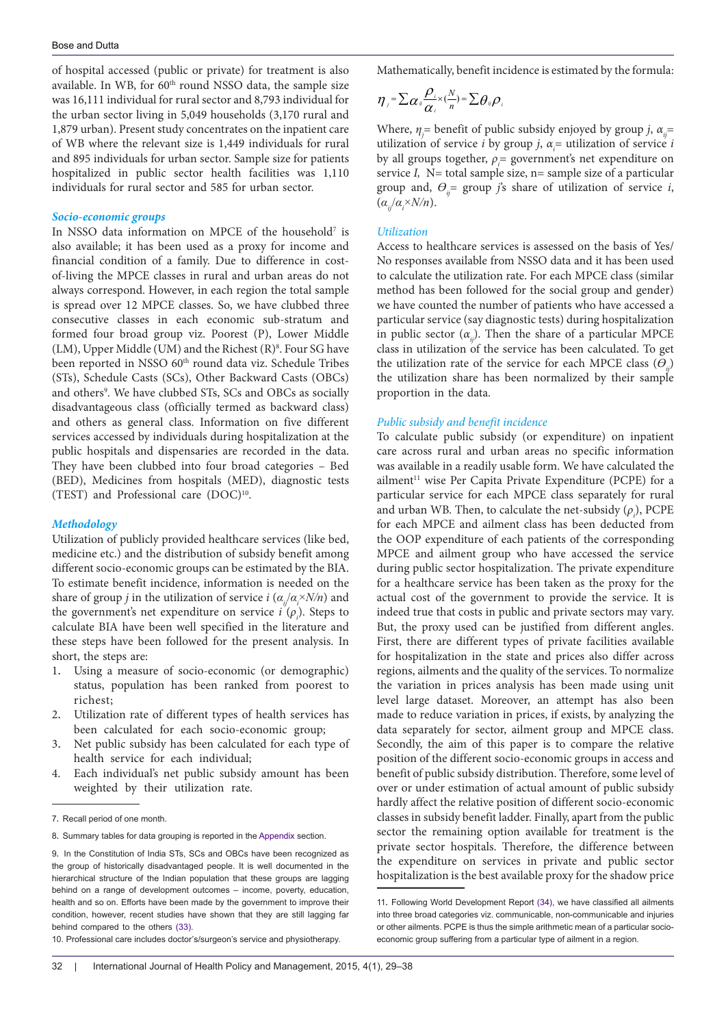of hospital accessed (public or private) for treatment is also available. In WB, for 60<sup>th</sup> round NSSO data, the sample size was 16,111 individual for rural sector and 8,793 individual for the urban sector living in 5,049 households (3,170 rural and 1,879 urban). Present study concentrates on the inpatient care of WB where the relevant size is 1,449 individuals for rural and 895 individuals for urban sector. Sample size for patients hospitalized in public sector health facilities was 1,110 individuals for rural sector and 585 for urban sector.

#### *Socio-economic groups*

In NSSO data information on MPCE of the household<sup>7</sup> is also available; it has been used as a proxy for income and financial condition of a family. Due to difference in costof-living the MPCE classes in rural and urban areas do not always correspond. However, in each region the total sample is spread over 12 MPCE classes. So, we have clubbed three consecutive classes in each economic sub-stratum and formed four broad group viz. Poorest (P), Lower Middle  $(LM)$ , Upper Middle (UM) and the Richest  $(R)^8$ . Four SG have been reported in NSSO 60<sup>th</sup> round data viz. Schedule Tribes (STs), Schedule Casts (SCs), Other Backward Casts (OBCs) and others<sup>9</sup>. We have clubbed STs, SCs and OBCs as socially disadvantageous class (officially termed as backward class) and others as general class. Information on five different services accessed by individuals during hospitalization at the public hospitals and dispensaries are recorded in the data. They have been clubbed into four broad categories – Bed (BED), Medicines from hospitals (MED), diagnostic tests (TEST) and Professional care (DOC)10.

#### *Methodology*

Utilization of publicly provided healthcare services (like bed, medicine etc.) and the distribution of subsidy benefit among different socio-economic groups can be estimated by the BIA. To estimate benefit incidence, information is needed on the share of group *j* in the utilization of service *i* (*αij*/*α<sup>i</sup>* ×*N/n*) and the government's net expenditure on service  $i(\rho_i)$ . Steps to calculate BIA have been well specified in the literature and these steps have been followed for the present analysis. In short, the steps are:

- 1. Using a measure of socio-economic (or demographic) status, population has been ranked from poorest to richest;
- 2. Utilization rate of different types of health services has been calculated for each socio-economic group;
- 3. Net public subsidy has been calculated for each type of health service for each individual;
- 4. Each individual's net public subsidy amount has been weighted by their utilization rate.

Mathematically, benefit incidence is estimated by the formula:

$$
\boldsymbol{\eta}_{j} = \sum \alpha_{ij} \frac{\rho_{i}}{\alpha_{i}} \times (\frac{N}{n}) = \sum \theta_{ij} \rho_{j}
$$

Where,  $η_j$ = benefit of public subsidy enjoyed by group *j*,  $α_{ij}$ = utilization of service *i* by group *j*, *α*<sub>*i*</sub> = utilization of service *i* by all groups together,  $ρ_1$ = government's net expenditure on service *I*, N= total sample size, n= sample size of a particular group and,  $\Theta_i$  = group *j*'s share of utilization of service *i*, (*αij*/*α<sup>i</sup>* ×*N/n*).

#### *Utilization*

Access to healthcare services is assessed on the basis of Yes/ No responses available from NSSO data and it has been used to calculate the utilization rate. For each MPCE class (similar method has been followed for the social group and gender) we have counted the number of patients who have accessed a particular service (say diagnostic tests) during hospitalization in public sector  $(\alpha_{ij})$ . Then the share of a particular MPCE class in utilization of the service has been calculated. To get the utilization rate of the service for each MPCE class  $(\theta_{ii})$ the utilization share has been normalized by their sample proportion in the data.

#### *Public subsidy and benefit incidence*

To calculate public subsidy (or expenditure) on inpatient care across rural and urban areas no specific information was available in a readily usable form. We have calculated the ailment<sup>11</sup> wise Per Capita Private Expenditure (PCPE) for a particular service for each MPCE class separately for rural and urban WB. Then, to calculate the net-subsidy  $(\rho_i)$ , PCPE for each MPCE and ailment class has been deducted from the OOP expenditure of each patients of the corresponding MPCE and ailment group who have accessed the service during public sector hospitalization. The private expenditure for a healthcare service has been taken as the proxy for the actual cost of the government to provide the service. It is indeed true that costs in public and private sectors may vary. But, the proxy used can be justified from different angles. First, there are different types of private facilities available for hospitalization in the state and prices also differ across regions, ailments and the quality of the services. To normalize the variation in prices analysis has been made using unit level large dataset. Moreover, an attempt has also been made to reduce variation in prices, if exists, by analyzing the data separately for sector, ailment group and MPCE class. Secondly, the aim of this paper is to compare the relative position of the different socio-economic groups in access and benefit of public subsidy distribution. Therefore, some level of over or under estimation of actual amount of public subsidy hardly affect the relative position of different socio-economic classes in subsidy benefit ladder. Finally, apart from the public sector the remaining option available for treatment is the private sector hospitals. Therefore, the difference between the expenditure on services in private and public sector hospitalization is the best available proxy for the shadow price

<sup>7</sup>. Recall period of one month.

<sup>8</sup>. Summary tables for data grouping is reported in the [Appendix](#page-9-0) section.

<sup>9</sup>. In the Constitution of India STs, SCs and OBCs have been recognized as the group of historically disadvantaged people. It is well documented in the hierarchical structure of the Indian population that these groups are lagging behind on a range of development outcomes – income, poverty, education, health and so on. Efforts have been made by the government to improve their condition, however, recent studies have shown that they are still lagging far behind compared to the others ([33](#page-9-1)).

<sup>10</sup>. Professional care includes doctor's/surgeon's service and physiotherapy.

<sup>11</sup>. Following World Development Report ([34](#page-9-2)), we have classified all ailments into three broad categories viz. communicable, non-communicable and injuries or other ailments. PCPE is thus the simple arithmetic mean of a particular socioeconomic group suffering from a particular type of ailment in a region.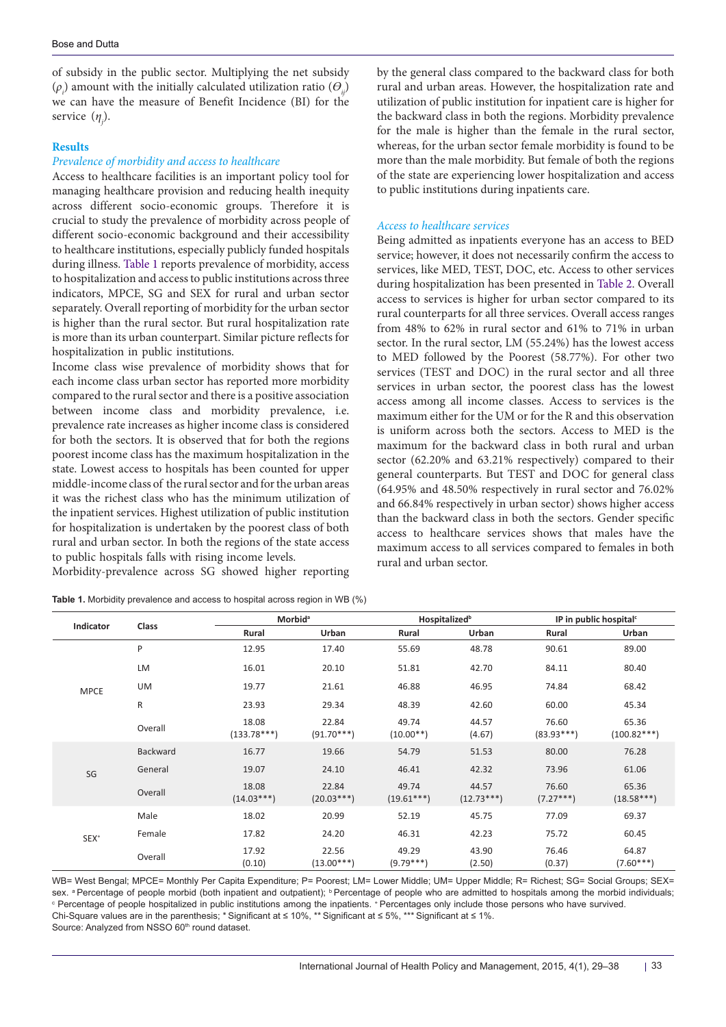of subsidy in the public sector. Multiplying the net subsidy  $(\rho_i)$  amount with the initially calculated utilization ratio  $(\theta_{ij})$ we can have the measure of Benefit Incidence (BI) for the service  $(\eta_j)$ .

#### **Results**

#### *Prevalence of morbidity and access to healthcare*

Access to healthcare facilities is an important policy tool for managing healthcare provision and reducing health inequity across different socio-economic groups. Therefore it is crucial to study the prevalence of morbidity across people of different socio-economic background and their accessibility to healthcare institutions, especially publicly funded hospitals during illness. Table 1 reports prevalence of morbidity, access to hospitalization and access to public institutions across three indicators, MPCE, SG and SEX for rural and urban sector separately. Overall reporting of morbidity for the urban sector is higher than the rural sector. But rural hospitalization rate is more than its urban counterpart. Similar picture reflects for hospitalization in public institutions.

Income class wise prevalence of morbidity shows that for each income class urban sector has reported more morbidity compared to the rural sector and there is a positive association between income class and morbidity prevalence, i.e. prevalence rate increases as higher income class is considered for both the sectors. It is observed that for both the regions poorest income class has the maximum hospitalization in the state. Lowest access to hospitals has been counted for upper middle-income class of the rural sector and for the urban areas it was the richest class who has the minimum utilization of the inpatient services. Highest utilization of public institution for hospitalization is undertaken by the poorest class of both rural and urban sector. In both the regions of the state access to public hospitals falls with rising income levels.

Morbidity-prevalence across SG showed higher reporting

|  |  |  |  |  | Table 1. Morbidity prevalence and access to hospital across region in WB (%) |  |  |
|--|--|--|--|--|------------------------------------------------------------------------------|--|--|
|--|--|--|--|--|------------------------------------------------------------------------------|--|--|

by the general class compared to the backward class for both rural and urban areas. However, the hospitalization rate and utilization of public institution for inpatient care is higher for the backward class in both the regions. Morbidity prevalence for the male is higher than the female in the rural sector, whereas, for the urban sector female morbidity is found to be more than the male morbidity. But female of both the regions of the state are experiencing lower hospitalization and access to public institutions during inpatients care.

#### *Access to healthcare services*

Being admitted as inpatients everyone has an access to BED service; however, it does not necessarily confirm the access to services, like MED, TEST, DOC, etc. Access to other services during hospitalization has been presented in [Table 2](#page-5-0). Overall access to services is higher for urban sector compared to its rural counterparts for all three services. Overall access ranges from 48% to 62% in rural sector and 61% to 71% in urban sector. In the rural sector, LM (55.24%) has the lowest access to MED followed by the Poorest (58.77%). For other two services (TEST and DOC) in the rural sector and all three services in urban sector, the poorest class has the lowest access among all income classes. Access to services is the maximum either for the UM or for the R and this observation is uniform across both the sectors. Access to MED is the maximum for the backward class in both rural and urban sector (62.20% and 63.21% respectively) compared to their general counterparts. But TEST and DOC for general class (64.95% and 48.50% respectively in rural sector and 76.02% and 66.84% respectively in urban sector) shows higher access than the backward class in both the sectors. Gender specific access to healthcare services shows that males have the maximum access to all services compared to females in both rural and urban sector.

| Indicator        | Class           | Morbid <sup>a</sup>    |                       |                       | <b>Hospitalized</b> <sup>b</sup> |                       | IP in public hospital <sup>c</sup> |
|------------------|-----------------|------------------------|-----------------------|-----------------------|----------------------------------|-----------------------|------------------------------------|
|                  |                 | Rural                  | Urban                 | Rural                 | Urban                            | Rural                 | Urban                              |
|                  | P               | 12.95                  | 17.40                 | 55.69                 | 48.78                            | 90.61                 | 89.00                              |
|                  | LM              | 16.01                  | 20.10                 | 51.81                 | 42.70                            | 84.11                 | 80.40                              |
| <b>MPCE</b>      | <b>UM</b>       | 19.77                  | 21.61                 | 46.88                 | 46.95                            | 74.84                 | 68.42                              |
|                  | R               | 23.93                  | 29.34                 | 48.39                 | 42.60                            | 60.00                 | 45.34                              |
|                  | Overall         | 18.08<br>$(133.78***)$ | 22.84<br>$(91.70***)$ | 49.74<br>$(10.00**)$  | 44.57<br>(4.67)                  | 76.60<br>$(83.93***)$ | 65.36<br>$(100.82***)$             |
|                  | <b>Backward</b> | 16.77                  | 19.66                 | 54.79                 | 51.53                            | 80.00                 | 76.28                              |
| SG               | General         | 19.07                  | 24.10                 | 46.41                 | 42.32                            | 73.96                 | 61.06                              |
|                  | Overall         | 18.08<br>$(14.03***)$  | 22.84<br>$(20.03***)$ | 49.74<br>$(19.61***)$ | 44.57<br>$(12.73***)$            | 76.60<br>$(7.27***)$  | 65.36<br>$(18.58***)$              |
|                  | Male            | 18.02                  | 20.99                 | 52.19                 | 45.75                            | 77.09                 | 69.37                              |
| SEX <sup>+</sup> | Female          | 17.82                  | 24.20                 | 46.31                 | 42.23                            | 75.72                 | 60.45                              |
|                  | Overall         | 17.92<br>(0.10)        | 22.56<br>$(13.00***)$ | 49.29<br>$(9.79***)$  | 43.90<br>(2.50)                  | 76.46<br>(0.37)       | 64.87<br>$(7.60***)$               |

WB= West Bengal; MPCE= Monthly Per Capita Expenditure; P= Poorest; LM= Lower Middle; UM= Upper Middle; R= Richest; SG= Social Groups; SEX= sex. a Percentage of people morbid (both inpatient and outpatient); b Percentage of people who are admitted to hospitals among the morbid individuals;<br>© Percentage of people bospitalized in public institutions among the in Percentage of people hospitalized in public institutions among the inpatients. *Percentages only include those persons who have survived.* Chi-Square values are in the parenthesis; \* Significant at ≤ 10%, \*\* Significant at ≤ 5%, \*\*\* Significant at ≤ 1%. Source: Analyzed from NSSO 60<sup>th</sup> round dataset.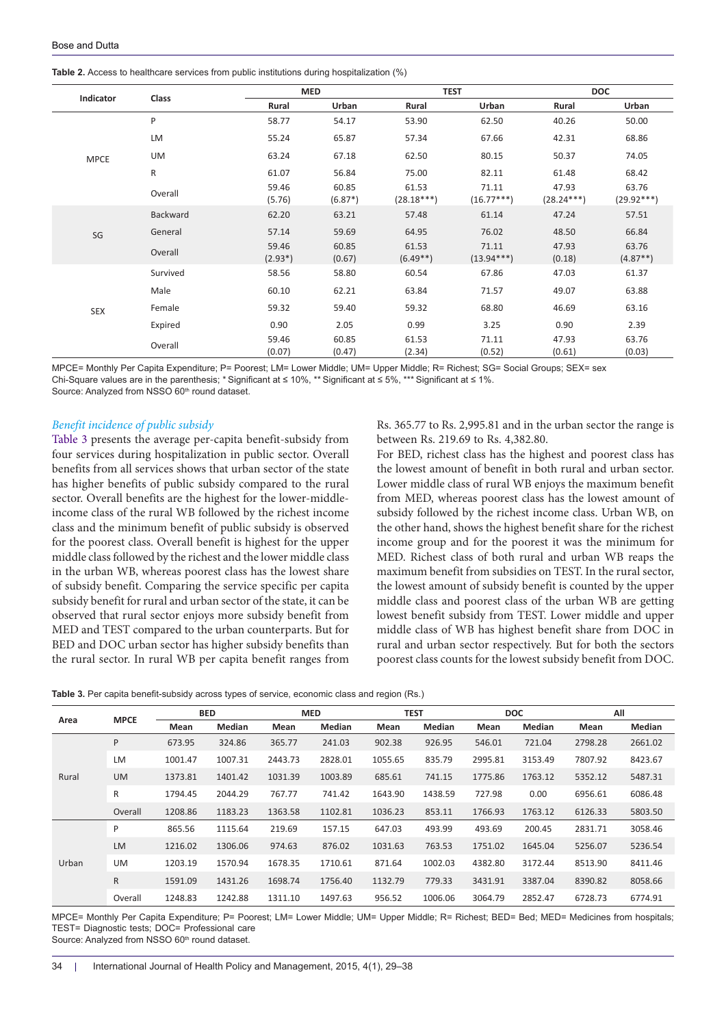<span id="page-5-0"></span>**Table 2.** Access to healthcare services from public institutions during hospitalization (%)

|             |                 | <b>MED</b>         |                    | <b>TEST</b>           |                       |                       | <b>DOC</b>            |
|-------------|-----------------|--------------------|--------------------|-----------------------|-----------------------|-----------------------|-----------------------|
| Indicator   | Class           | Rural              | Urban              | Rural                 | Urban                 | Rural                 | Urban                 |
|             | P               | 58.77              | 54.17              | 53.90                 | 62.50                 | 40.26                 | 50.00                 |
|             | LM              | 55.24              | 65.87              | 57.34                 | 67.66                 | 42.31                 | 68.86                 |
| <b>MPCE</b> | <b>UM</b>       | 63.24              | 67.18              | 62.50                 | 80.15                 | 50.37                 | 74.05                 |
|             | $\mathsf{R}$    | 61.07              | 56.84              | 75.00                 | 82.11                 | 61.48                 | 68.42                 |
|             | Overall         | 59.46<br>(5.76)    | 60.85<br>$(6.87*)$ | 61.53<br>$(28.18***)$ | 71.11<br>$(16.77***)$ | 47.93<br>$(28.24***)$ | 63.76<br>$(29.92***)$ |
|             | <b>Backward</b> | 62.20              | 63.21              | 57.48                 | 61.14                 | 47.24                 | 57.51                 |
| SG          | General         | 57.14              | 59.69              | 64.95                 | 76.02                 | 48.50                 | 66.84                 |
|             | Overall         | 59.46<br>$(2.93*)$ | 60.85<br>(0.67)    | 61.53<br>$(6.49**)$   | 71.11<br>$(13.94***)$ | 47.93<br>(0.18)       | 63.76<br>$(4.87**)$   |
|             | Survived        | 58.56              | 58.80              | 60.54                 | 67.86                 | 47.03                 | 61.37                 |
|             | Male            | 60.10              | 62.21              | 63.84                 | 71.57                 | 49.07                 | 63.88                 |
| <b>SEX</b>  | Female          | 59.32              | 59.40              | 59.32                 | 68.80                 | 46.69                 | 63.16                 |
|             | Expired         | 0.90               | 2.05               | 0.99                  | 3.25                  | 0.90                  | 2.39                  |
|             | Overall         | 59.46<br>(0.07)    | 60.85<br>(0.47)    | 61.53<br>(2.34)       | 71.11<br>(0.52)       | 47.93<br>(0.61)       | 63.76<br>(0.03)       |

MPCE= Monthly Per Capita Expenditure; P= Poorest; LM= Lower Middle; UM= Upper Middle; R= Richest; SG= Social Groups; SEX= sex Chi-Square values are in the parenthesis; \* Significant at ≤ 10%, \*\* Significant at ≤ 5%, \*\*\* Significant at ≤ 1%.

Source: Analyzed from NSSO 60<sup>th</sup> round dataset.

#### *Benefit incidence of public subsidy*

[Table 3](#page-5-1) presents the average per-capita benefit-subsidy from four services during hospitalization in public sector. Overall benefits from all services shows that urban sector of the state has higher benefits of public subsidy compared to the rural sector. Overall benefits are the highest for the lower-middleincome class of the rural WB followed by the richest income class and the minimum benefit of public subsidy is observed for the poorest class. Overall benefit is highest for the upper middle class followed by the richest and the lower middle class in the urban WB, whereas poorest class has the lowest share of subsidy benefit. Comparing the service specific per capita subsidy benefit for rural and urban sector of the state, it can be observed that rural sector enjoys more subsidy benefit from MED and TEST compared to the urban counterparts. But for BED and DOC urban sector has higher subsidy benefits than the rural sector. In rural WB per capita benefit ranges from

Rs. 365.77 to Rs. 2,995.81 and in the urban sector the range is between Rs. 219.69 to Rs. 4,382.80.

For BED, richest class has the highest and poorest class has the lowest amount of benefit in both rural and urban sector. Lower middle class of rural WB enjoys the maximum benefit from MED, whereas poorest class has the lowest amount of subsidy followed by the richest income class. Urban WB, on the other hand, shows the highest benefit share for the richest income group and for the poorest it was the minimum for MED. Richest class of both rural and urban WB reaps the maximum benefit from subsidies on TEST. In the rural sector, the lowest amount of subsidy benefit is counted by the upper middle class and poorest class of the urban WB are getting lowest benefit subsidy from TEST. Lower middle and upper middle class of WB has highest benefit share from DOC in rural and urban sector respectively. But for both the sectors poorest class counts for the lowest subsidy benefit from DOC.

<span id="page-5-1"></span>

| Table 3. Per capita benefit-subsidy across types of service, economic class and region (Rs.) |  |  |
|----------------------------------------------------------------------------------------------|--|--|
|----------------------------------------------------------------------------------------------|--|--|

|       |             |         | <b>BED</b> |         | <b>MED</b> |         | <b>TEST</b> |         | <b>DOC</b> |         | All     |  |
|-------|-------------|---------|------------|---------|------------|---------|-------------|---------|------------|---------|---------|--|
| Area  | <b>MPCE</b> | Mean    | Median     | Mean    | Median     | Mean    | Median      | Mean    | Median     | Mean    | Median  |  |
|       | P           | 673.95  | 324.86     | 365.77  | 241.03     | 902.38  | 926.95      | 546.01  | 721.04     | 2798.28 | 2661.02 |  |
| Rural | LM          | 1001.47 | 1007.31    | 2443.73 | 2828.01    | 1055.65 | 835.79      | 2995.81 | 3153.49    | 7807.92 | 8423.67 |  |
|       | <b>UM</b>   | 1373.81 | 1401.42    | 1031.39 | 1003.89    | 685.61  | 741.15      | 1775.86 | 1763.12    | 5352.12 | 5487.31 |  |
|       | R           | 1794.45 | 2044.29    | 767.77  | 741.42     | 1643.90 | 1438.59     | 727.98  | 0.00       | 6956.61 | 6086.48 |  |
|       | Overall     | 1208.86 | 1183.23    | 1363.58 | 1102.81    | 1036.23 | 853.11      | 1766.93 | 1763.12    | 6126.33 | 5803.50 |  |
|       | P           | 865.56  | 1115.64    | 219.69  | 157.15     | 647.03  | 493.99      | 493.69  | 200.45     | 2831.71 | 3058.46 |  |
|       | LM          | 1216.02 | 1306.06    | 974.63  | 876.02     | 1031.63 | 763.53      | 1751.02 | 1645.04    | 5256.07 | 5236.54 |  |
| Urban | UM          | 1203.19 | 1570.94    | 1678.35 | 1710.61    | 871.64  | 1002.03     | 4382.80 | 3172.44    | 8513.90 | 8411.46 |  |
|       | R.          | 1591.09 | 1431.26    | 1698.74 | 1756.40    | 1132.79 | 779.33      | 3431.91 | 3387.04    | 8390.82 | 8058.66 |  |
|       | Overall     | 1248.83 | 1242.88    | 1311.10 | 1497.63    | 956.52  | 1006.06     | 3064.79 | 2852.47    | 6728.73 | 6774.91 |  |

MPCE= Monthly Per Capita Expenditure; P= Poorest; LM= Lower Middle; UM= Upper Middle; R= Richest; BED= Bed; MED= Medicines from hospitals; TEST= Diagnostic tests; DOC= Professional care Source: Analyzed from NSSO 60<sup>th</sup> round dataset.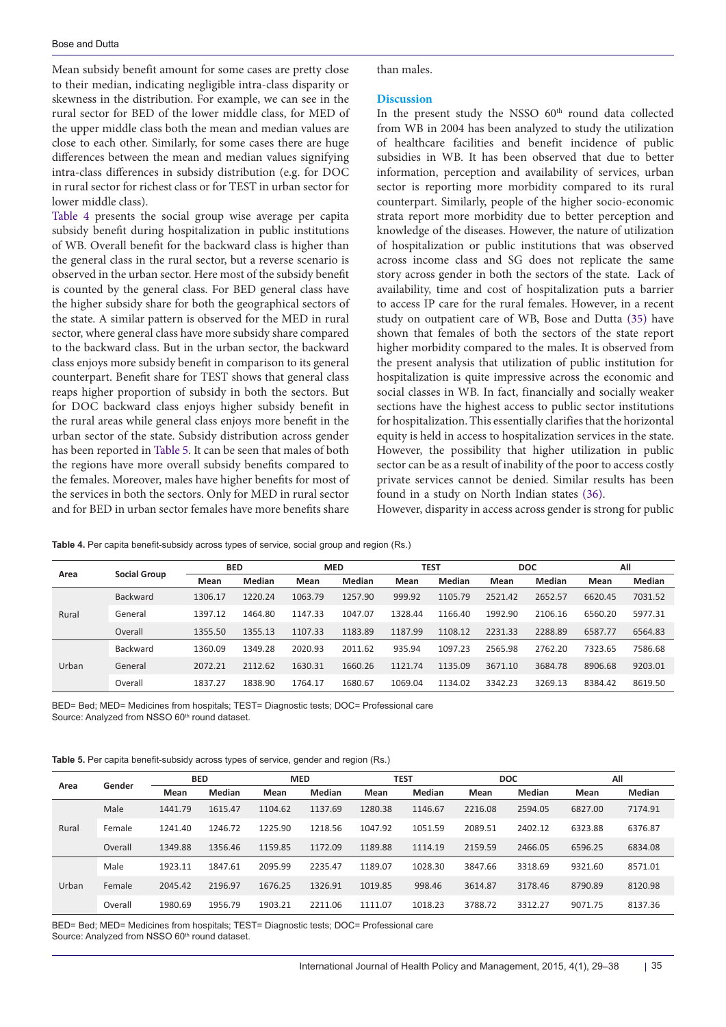Mean subsidy benefit amount for some cases are pretty close to their median, indicating negligible intra-class disparity or skewness in the distribution. For example, we can see in the rural sector for BED of the lower middle class, for MED of the upper middle class both the mean and median values are close to each other. Similarly, for some cases there are huge differences between the mean and median values signifying intra-class differences in subsidy distribution (e.g. for DOC in rural sector for richest class or for TEST in urban sector for lower middle class).

[Table 4](#page-6-0) presents the social group wise average per capita subsidy benefit during hospitalization in public institutions of WB. Overall benefit for the backward class is higher than the general class in the rural sector, but a reverse scenario is observed in the urban sector. Here most of the subsidy benefit is counted by the general class. For BED general class have the higher subsidy share for both the geographical sectors of the state. A similar pattern is observed for the MED in rural sector, where general class have more subsidy share compared to the backward class. But in the urban sector, the backward class enjoys more subsidy benefit in comparison to its general counterpart. Benefit share for TEST shows that general class reaps higher proportion of subsidy in both the sectors. But for DOC backward class enjoys higher subsidy benefit in the rural areas while general class enjoys more benefit in the urban sector of the state. Subsidy distribution across gender has been reported in [Table 5](#page-6-1). It can be seen that males of both the regions have more overall subsidy benefits compared to the females. Moreover, males have higher benefits for most of the services in both the sectors. Only for MED in rural sector and for BED in urban sector females have more benefits share

than males.

#### **Discussion**

In the present study the NSSO 60<sup>th</sup> round data collected from WB in 2004 has been analyzed to study the utilization of healthcare facilities and benefit incidence of public subsidies in WB. It has been observed that due to better information, perception and availability of services, urban sector is reporting more morbidity compared to its rural counterpart. Similarly, people of the higher socio-economic strata report more morbidity due to better perception and knowledge of the diseases. However, the nature of utilization of hospitalization or public institutions that was observed across income class and SG does not replicate the same story across gender in both the sectors of the state. Lack of availability, time and cost of hospitalization puts a barrier to access IP care for the rural females. However, in a recent study on outpatient care of WB, Bose and Dutta ([35](#page-9-3)) have shown that females of both the sectors of the state report higher morbidity compared to the males. It is observed from the present analysis that utilization of public institution for hospitalization is quite impressive across the economic and social classes in WB. In fact, financially and socially weaker sections have the highest access to public sector institutions for hospitalization. This essentially clarifies that the horizontal equity is held in access to hospitalization services in the state. However, the possibility that higher utilization in public sector can be as a result of inability of the poor to access costly private services cannot be denied. Similar results has been found in a study on North Indian states [\(36\)](#page-9-4).

However, disparity in access across gender is strong for public

<span id="page-6-0"></span>**Table 4.** Per capita benefit-subsidy across types of service, social group and region (Rs.)

|       | <b>Social Group</b> |         | <b>BED</b>    |         | <b>MED</b>    |         | <b>TEST</b> |         | <b>DOC</b> | All     |         |  |
|-------|---------------------|---------|---------------|---------|---------------|---------|-------------|---------|------------|---------|---------|--|
| Area  |                     | Mean    | <b>Median</b> | Mean    | <b>Median</b> | Mean    | Median      | Mean    | Median     | Mean    | Median  |  |
| Rural | <b>Backward</b>     | 1306.17 | 1220.24       | 1063.79 | 1257.90       | 999.92  | 1105.79     | 2521.42 | 2652.57    | 6620.45 | 7031.52 |  |
|       | General             | 1397.12 | 1464.80       | 1147.33 | 1047.07       | 1328.44 | 1166.40     | 1992.90 | 2106.16    | 6560.20 | 5977.31 |  |
|       | Overall             | 1355.50 | 1355.13       | 1107.33 | 1183.89       | 1187.99 | 1108.12     | 2231.33 | 2288.89    | 6587.77 | 6564.83 |  |
|       | Backward            | 1360.09 | 1349.28       | 2020.93 | 2011.62       | 935.94  | 1097.23     | 2565.98 | 2762.20    | 7323.65 | 7586.68 |  |
| Urban | General             | 2072.21 | 2112.62       | 1630.31 | 1660.26       | 1121.74 | 1135.09     | 3671.10 | 3684.78    | 8906.68 | 9203.01 |  |
|       | Overall             | 1837.27 | 1838.90       | 1764.17 | 1680.67       | 1069.04 | 1134.02     | 3342.23 | 3269.13    | 8384.42 | 8619.50 |  |

BED= Bed; MED= Medicines from hospitals; TEST= Diagnostic tests; DOC= Professional care Source: Analyzed from NSSO 60<sup>th</sup> round dataset.

<span id="page-6-1"></span>**Table 5.** Per capita benefit-subsidy across types of service, gender and region (Rs.)

|       |         |         | <b>TEST</b><br><b>BED</b><br><b>MED</b> |         |         | <b>DOC</b> |         |         | All     |         |         |
|-------|---------|---------|-----------------------------------------|---------|---------|------------|---------|---------|---------|---------|---------|
| Area  | Gender  | Mean    | <b>Median</b>                           | Mean    | Median  | Mean       | Median  | Mean    | Median  | Mean    | Median  |
| Rural | Male    | 1441.79 | 1615.47                                 | 1104.62 | 1137.69 | 1280.38    | 1146.67 | 2216.08 | 2594.05 | 6827.00 | 7174.91 |
|       | Female  | 1241.40 | 1246.72                                 | 1225.90 | 1218.56 | 1047.92    | 1051.59 | 2089.51 | 2402.12 | 6323.88 | 6376.87 |
|       | Overall | 1349.88 | 1356.46                                 | 1159.85 | 1172.09 | 1189.88    | 1114.19 | 2159.59 | 2466.05 | 6596.25 | 6834.08 |
|       | Male    | 1923.11 | 1847.61                                 | 2095.99 | 2235.47 | 1189.07    | 1028.30 | 3847.66 | 3318.69 | 9321.60 | 8571.01 |
| Urban | Female  | 2045.42 | 2196.97                                 | 1676.25 | 1326.91 | 1019.85    | 998.46  | 3614.87 | 3178.46 | 8790.89 | 8120.98 |
|       | Overall | 1980.69 | 1956.79                                 | 1903.21 | 2211.06 | 1111.07    | 1018.23 | 3788.72 | 3312.27 | 9071.75 | 8137.36 |

BED= Bed; MED= Medicines from hospitals; TEST= Diagnostic tests; DOC= Professional care Source: Analyzed from NSSO 60<sup>th</sup> round dataset.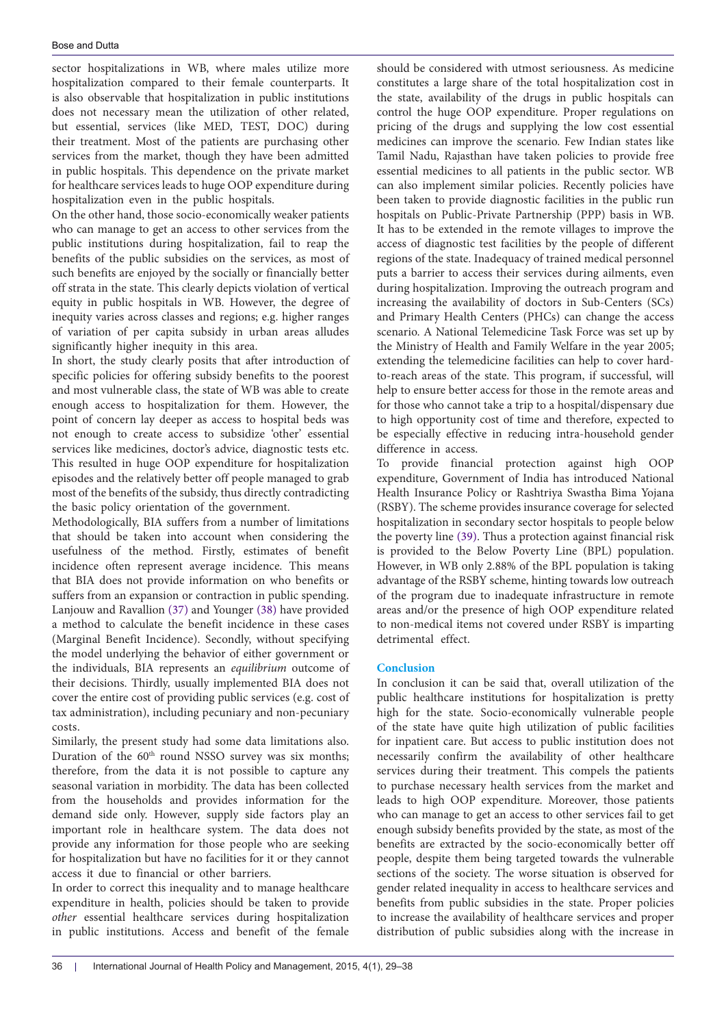sector hospitalizations in WB, where males utilize more hospitalization compared to their female counterparts. It is also observable that hospitalization in public institutions does not necessary mean the utilization of other related, but essential, services (like MED, TEST, DOC) during their treatment. Most of the patients are purchasing other services from the market, though they have been admitted in public hospitals. This dependence on the private market for healthcare services leads to huge OOP expenditure during hospitalization even in the public hospitals.

On the other hand, those socio-economically weaker patients who can manage to get an access to other services from the public institutions during hospitalization, fail to reap the benefits of the public subsidies on the services, as most of such benefits are enjoyed by the socially or financially better off strata in the state. This clearly depicts violation of vertical equity in public hospitals in WB. However, the degree of inequity varies across classes and regions; e.g. higher ranges of variation of per capita subsidy in urban areas alludes significantly higher inequity in this area.

In short, the study clearly posits that after introduction of specific policies for offering subsidy benefits to the poorest and most vulnerable class, the state of WB was able to create enough access to hospitalization for them. However, the point of concern lay deeper as access to hospital beds was not enough to create access to subsidize 'other' essential services like medicines, doctor's advice, diagnostic tests etc. This resulted in huge OOP expenditure for hospitalization episodes and the relatively better off people managed to grab most of the benefits of the subsidy, thus directly contradicting the basic policy orientation of the government.

Methodologically, BIA suffers from a number of limitations that should be taken into account when considering the usefulness of the method. Firstly, estimates of benefit incidence often represent average incidence. This means that BIA does not provide information on who benefits or suffers from an expansion or contraction in public spending. Lanjouw and Ravallion [\(37\)](#page-9-5) and Younger ([38\)](#page-9-6) have provided a method to calculate the benefit incidence in these cases (Marginal Benefit Incidence). Secondly, without specifying the model underlying the behavior of either government or the individuals, BIA represents an *equilibrium* outcome of their decisions. Thirdly, usually implemented BIA does not cover the entire cost of providing public services (e.g. cost of tax administration), including pecuniary and non-pecuniary costs.

Similarly, the present study had some data limitations also. Duration of the 60<sup>th</sup> round NSSO survey was six months; therefore, from the data it is not possible to capture any seasonal variation in morbidity. The data has been collected from the households and provides information for the demand side only. However, supply side factors play an important role in healthcare system. The data does not provide any information for those people who are seeking for hospitalization but have no facilities for it or they cannot access it due to financial or other barriers.

In order to correct this inequality and to manage healthcare expenditure in health, policies should be taken to provide *other* essential healthcare services during hospitalization in public institutions. Access and benefit of the female

should be considered with utmost seriousness. As medicine constitutes a large share of the total hospitalization cost in the state, availability of the drugs in public hospitals can control the huge OOP expenditure. Proper regulations on pricing of the drugs and supplying the low cost essential medicines can improve the scenario. Few Indian states like Tamil Nadu, Rajasthan have taken policies to provide free essential medicines to all patients in the public sector. WB can also implement similar policies. Recently policies have been taken to provide diagnostic facilities in the public run hospitals on Public-Private Partnership (PPP) basis in WB. It has to be extended in the remote villages to improve the access of diagnostic test facilities by the people of different regions of the state. Inadequacy of trained medical personnel puts a barrier to access their services during ailments, even during hospitalization. Improving the outreach program and increasing the availability of doctors in Sub-Centers (SCs) and Primary Health Centers (PHCs) can change the access scenario. A National Telemedicine Task Force was set up by the Ministry of Health and Family Welfare in the year 2005; extending the telemedicine facilities can help to cover hardto-reach areas of the state. This program, if successful, will help to ensure better access for those in the remote areas and for those who cannot take a trip to a hospital/dispensary due to high opportunity cost of time and therefore, expected to be especially effective in reducing intra-household gender difference in access.

To provide financial protection against high OOP expenditure, Government of India has introduced National Health Insurance Policy or Rashtriya Swastha Bima Yojana (RSBY). The scheme provides insurance coverage for selected hospitalization in secondary sector hospitals to people below the poverty line [\(39\)](#page-9-7). Thus a protection against financial risk is provided to the Below Poverty Line (BPL) population. However, in WB only 2.88% of the BPL population is taking advantage of the RSBY scheme, hinting towards low outreach of the program due to inadequate infrastructure in remote areas and/or the presence of high OOP expenditure related to non-medical items not covered under RSBY is imparting detrimental effect.

### **Conclusion**

In conclusion it can be said that, overall utilization of the public healthcare institutions for hospitalization is pretty high for the state. Socio-economically vulnerable people of the state have quite high utilization of public facilities for inpatient care. But access to public institution does not necessarily confirm the availability of other healthcare services during their treatment. This compels the patients to purchase necessary health services from the market and leads to high OOP expenditure. Moreover, those patients who can manage to get an access to other services fail to get enough subsidy benefits provided by the state, as most of the benefits are extracted by the socio-economically better off people, despite them being targeted towards the vulnerable sections of the society. The worse situation is observed for gender related inequality in access to healthcare services and benefits from public subsidies in the state. Proper policies to increase the availability of healthcare services and proper distribution of public subsidies along with the increase in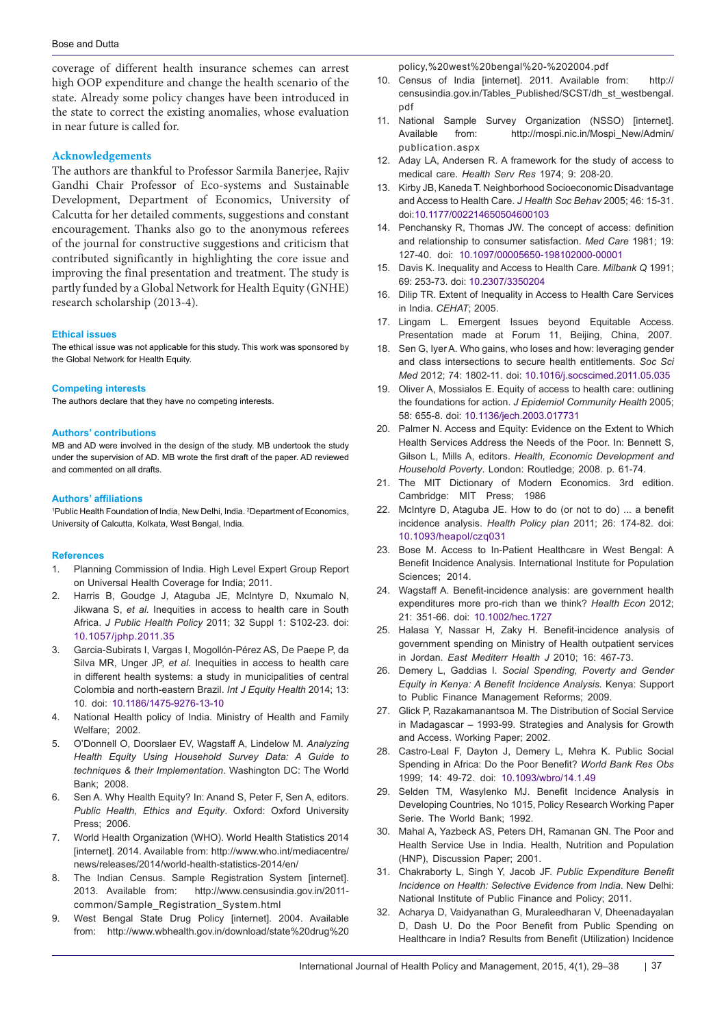coverage of different health insurance schemes can arrest high OOP expenditure and change the health scenario of the state. Already some policy changes have been introduced in the state to correct the existing anomalies, whose evaluation in near future is called for.

#### **Acknowledgements**

The authors are thankful to Professor Sarmila Banerjee, Rajiv Gandhi Chair Professor of Eco-systems and Sustainable Development, Department of Economics, University of Calcutta for her detailed comments, suggestions and constant encouragement. Thanks also go to the anonymous referees of the journal for constructive suggestions and criticism that contributed significantly in highlighting the core issue and improving the final presentation and treatment. The study is partly funded by a Global Network for Health Equity (GNHE) research scholarship (2013-4).

#### **Ethical issues**

The ethical issue was not applicable for this study. This work was sponsored by the Global Network for Health Equity.

#### **Competing interests**

The authors declare that they have no competing interests.

#### **Authors' contributions**

MB and AD were involved in the design of the study. MB undertook the study under the supervision of AD. MB wrote the first draft of the paper. AD reviewed and commented on all drafts.

#### **Authors' affiliations**

<span id="page-8-1"></span><span id="page-8-0"></span><sup>1</sup>Public Health Foundation of India, New Delhi, India. <sup>2</sup>Department of Economics, University of Calcutta, Kolkata, West Bengal, India.

#### **References**

- <span id="page-8-2"></span>1. Planning Commission of India. High Level Expert Group Report on Universal Health Coverage for India; 2011.
- <span id="page-8-3"></span>2. Harris B, Goudge J, Ataguba JE, McIntyre D, Nxumalo N, Jikwana S, *et al.* Inequities in access to health care in South Africa. *J Public Health Policy* 2011; 32 Suppl 1: S102-23. doi: [10.1057/jphp.2011.35](http://dx.doi.org/10.1057/jphp.2011.35)
- <span id="page-8-4"></span>3. Garcia-Subirats I, Vargas I, Mogollón-Pérez AS, De Paepe P, da Silva MR, Unger JP, *et al.* Inequities in access to health care in different health systems: a study in municipalities of central Colombia and north-eastern Brazil. *Int J Equity Health* 2014; 13: 10. doi: [10.1186/1475-9276-13-10](http://dx.doi.org/10.1186/1475-9276-13-10)
- <span id="page-8-5"></span>4. National Health policy of India. Ministry of Health and Family Welfare: 2002
- <span id="page-8-6"></span>5. O'Donnell O, Doorslaer EV, Wagstaff A, Lindelow M. *Analyzing Health Equity Using Household Survey Data: A Guide to techniques & their Implementation*. Washington DC: The World Bank; 2008.
- <span id="page-8-7"></span>6. Sen A. Why Health Equity? In: Anand S, Peter F, Sen A, editors. *Public Health, Ethics and Equity*. Oxford: Oxford University Press; 2006.
- <span id="page-8-8"></span>7. World Health Organization (WHO). World Health Statistics 2014 [internet]. 2014. Available from: [http://www.who.int/mediacentre/](http://www.who.int/mediacentre/news/releases/2014/world-health-statistics-2014/en/) news/releases/2014[/world-health-statistics-](http://www.who.int/mediacentre/news/releases/2014/world-health-statistics-2014/en/)2014/en/
- 8. The Indian Census. Sample Registration System [internet]. 2013. Available from: [http://www.censusindia.gov.in/](http://www.censusindia.gov.in/2011-common/Sample_Registration_System.html)2011 [common/Sample](http://www.censusindia.gov.in/2011-common/Sample_Registration_System.html)\_Registration\_System.html
- <span id="page-8-9"></span>9. West Bengal State Drug Policy [internet]. 2004. Available from: [http://www.wbhealth.gov.in/download/state%20drug%](http://www.wbhealth.gov.in/download/state drug policy, west bengal - 2004.pdf)20

<span id="page-8-10"></span>[policy,%20west%20bengal%](http://www.wbhealth.gov.in/download/state drug policy, west bengal - 2004.pdf)20-%202004.pdf

- 10. Census of India [internet]. 2011. Available from: [http://](http://censusindia.gov.in/Tables_Published/SCST/dh_st_westbengal.pdf) [censusindia.gov.in/Tables](http://censusindia.gov.in/Tables_Published/SCST/dh_st_westbengal.pdf)\_Published/SCST/dh\_st\_westbengal. [pdf](http://censusindia.gov.in/Tables_Published/SCST/dh_st_westbengal.pdf)
- <span id="page-8-11"></span>11. National Sample Survey Organization (NSSO) [internet]. Available from: [http://mospi.nic.in/Mospi](http://mospi.nic.in/Mospi_New/Admin/publication.aspx)\_New/Admin/ [publication.aspx](http://mospi.nic.in/Mospi_New/Admin/publication.aspx)
- <span id="page-8-12"></span>12. Aday LA, Andersen R. A framework for the study of access to medical care. *Health Serv Res* 1974; 9: 208-20.
- <span id="page-8-13"></span>13. Kirby JB, Kaneda T. Neighborhood Socioeconomic Disadvantage and Access to Health Care. *J Health Soc Behav* 2005; 46: 15-31. doi: [10.1177/002214650504600103](http://dx.doi.org/10.1177/002214650504600103)
- <span id="page-8-14"></span>14. Penchansky R, Thomas JW. The concept of access: definition and relationship to consumer satisfaction. *Med Care* 1981; 19: 127-40. doi: [10.1097/00005650-198102000-00001](http://dx.doi.org/10.1097/00005650-198102000-00001)
- <span id="page-8-15"></span>15. Davis K. Inequality and Access to Health Care. *Milbank Q* 1991; 69: 253-73. doi: [10.2307/3350204](http://dx.doi.org/10.2307/3350204)
- <span id="page-8-16"></span>16. Dilip TR. Extent of Inequality in Access to Health Care Services in India. *CEHAT*; 2005.
- 17. Lingam L. Emergent Issues beyond Equitable Access. Presentation made at Forum 11, Beijing, China, 2007.
- <span id="page-8-17"></span>18. Sen G, Iyer A. Who gains, who loses and how: leveraging gender and class intersections to secure health entitlements. *Soc Sci Med* 2012; 74: 1802-11. doi: [10.1016/j.socscimed.2011.05.035](http://dx.doi.org/10.1016/j.socscimed.2011.05.035)
- <span id="page-8-18"></span>19. Oliver A, Mossialos E. Equity of access to health care: outlining the foundations for action. *J Epidemiol Community Health* 2005; 58: 655-8. doi: [10.1136/jech.2003.017731](http://dx.doi.org/10.1136/jech.2003.017731)
- <span id="page-8-19"></span>20. Palmer N. Access and Equity: Evidence on the Extent to Which Health Services Address the Needs of the Poor. In: Bennett S, Gilson L, Mills A, editors. *Health, Economic Development and Household Poverty*. London: Routledge; 2008. p. 61-74.
- <span id="page-8-23"></span>21. The MIT Dictionary of Modern Economics. 3rd edition. Cambridge: MIT Press; 1986
- <span id="page-8-20"></span>22. McIntyre D, Ataguba JE. How to do (or not to do) ... a benefit incidence analysis. *Health Policy plan* 2011; 26: 174-82. doi: [10.1093/heapol/czq031](http://dx.doi.org/10.1093/heapol/czq031)
- <span id="page-8-21"></span>23. Bose M. Access to In-Patient Healthcare in West Bengal: A Benefit Incidence Analysis. International Institute for Population Sciences: 2014.
- <span id="page-8-22"></span>24. Wagstaff A. Benefit-incidence analysis: are government health expenditures more pro-rich than we think? *Health Econ* 2012; 21: 351-66. doi: [10.1002/hec.1727](http://dx.doi.org/10.1002/hec.1727)
- <span id="page-8-24"></span>25. Halasa Y, Nassar H, Zaky H. Benefit-incidence analysis of government spending on Ministry of Health outpatient services in Jordan. *East Mediterr Health J* 2010; 16: 467-73.
- <span id="page-8-25"></span>26. Demery L, Gaddias I. *Social Spending, Poverty and Gender Equity in Kenya: A Benefit Incidence Analysis.* Kenya: Support to Public Finance Management Reforms; 2009.
- <span id="page-8-26"></span>27. Glick P, Razakamanantsoa M. The Distribution of Social Service in Madagascar – 1993-99. Strategies and Analysis for Growth and Access. Working Paper; 2002.
- <span id="page-8-27"></span>28. Castro-Leal F, Dayton J, Demery L, Mehra K. Public Social Spending in Africa: Do the Poor Benefit? *World Bank Res Obs*  1999; 14: 49-72. doi: [10.1093/wbro/14.1.49](http://dx.doi.org/10.1093/wbro/14.1.49)
- <span id="page-8-28"></span>29. Selden TM, Wasylenko MJ. Benefit Incidence Analysis in Developing Countries, No 1015, Policy Research Working Paper Serie. The World Bank; 1992.
- <span id="page-8-29"></span>30. Mahal A, Yazbeck AS, Peters DH, Ramanan GN. The Poor and Health Service Use in India. Health, Nutrition and Population (HNP), Discussion Paper; 2001.
- 31. Chakraborty L, Singh Y, Jacob JF. *Public Expenditure Benefit Incidence on Health: Selective Evidence from India.* New Delhi: National Institute of Public Finance and Policy; 2011.
- <span id="page-8-30"></span>32. Acharya D, Vaidyanathan G, Muraleedharan V, Dheenadayalan D, Dash U. Do the Poor Benefit from Public Spending on Healthcare in India? Results from Benefit (Utilization) Incidence